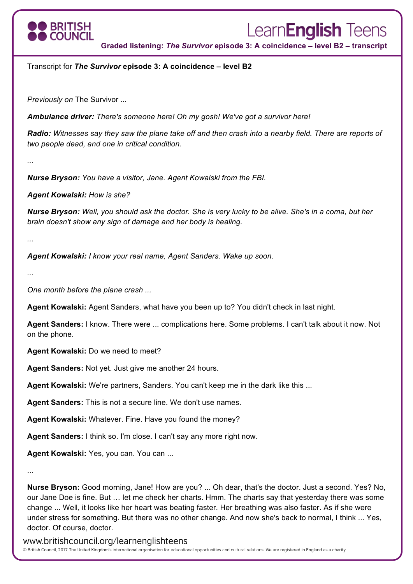

## Learn**English** Teens

**Graded listening:** *The Survivor* **episode 3: A coincidence – level B2 – transcript**

Transcript for *The Survivor* **episode 3: A coincidence – level B2**

*Previously on* The Survivor *...*

*Ambulance driver: There's someone here! Oh my gosh! We've got a survivor here!*

*Radio: Witnesses say they saw the plane take off and then crash into a nearby field. There are reports of two people dead, and one in critical condition.*

*Nurse Bryson: You have a visitor, Jane. Agent Kowalski from the FBI.*

*Agent Kowalski: How is she?*

*Nurse Bryson: Well, you should ask the doctor. She is very lucky to be alive. She's in a coma, but her brain doesn't show any sign of damage and her body is healing.*

*Agent Kowalski: I know your real name, Agent Sanders. Wake up soon.*

*...*

...

*...*

*...*

*One month before the plane crash ...*

**Agent Kowalski:** Agent Sanders, what have you been up to? You didn't check in last night.

**Agent Sanders:** I know. There were ... complications here. Some problems. I can't talk about it now. Not on the phone.

**Agent Kowalski:** Do we need to meet?

**Agent Sanders:** Not yet. Just give me another 24 hours.

**Agent Kowalski:** We're partners, Sanders. You can't keep me in the dark like this ...

**Agent Sanders:** This is not a secure line. We don't use names.

**Agent Kowalski:** Whatever. Fine. Have you found the money?

**Agent Sanders:** I think so. I'm close. I can't say any more right now.

**Agent Kowalski:** Yes, you can. You can ...

**Nurse Bryson:** Good morning, Jane! How are you? ... Oh dear, that's the doctor. Just a second. Yes? No, our Jane Doe is fine. But … let me check her charts. Hmm. The charts say that yesterday there was some change ... Well, it looks like her heart was beating faster. Her breathing was also faster. As if she were under stress for something. But there was no other change. And now she's back to normal, I think ... Yes, doctor. Of course, doctor.

www.britishcouncil.org/learnenglishteens

© British Council, 2017 The United Kingdom's international organisation for educational opportunities and cultural relations. We are registered in England as a charity.